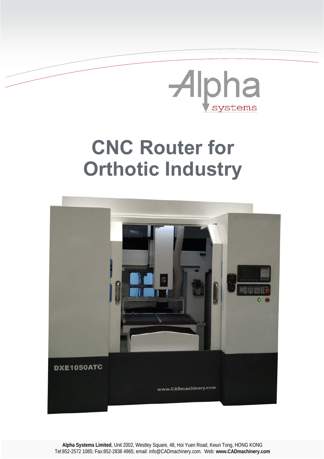

## **CNC Router for Orthotic Industry**



**Alpha Systems Limited**, Unit 2002, Westley Square, 48, Hoi Yuen Road, Kwun Tong, HONG KONG Tel:852-2572 1085; Fax:852-2838 4965; email: info@CADmachinery.com. Web: **www.CADmachinery.com**